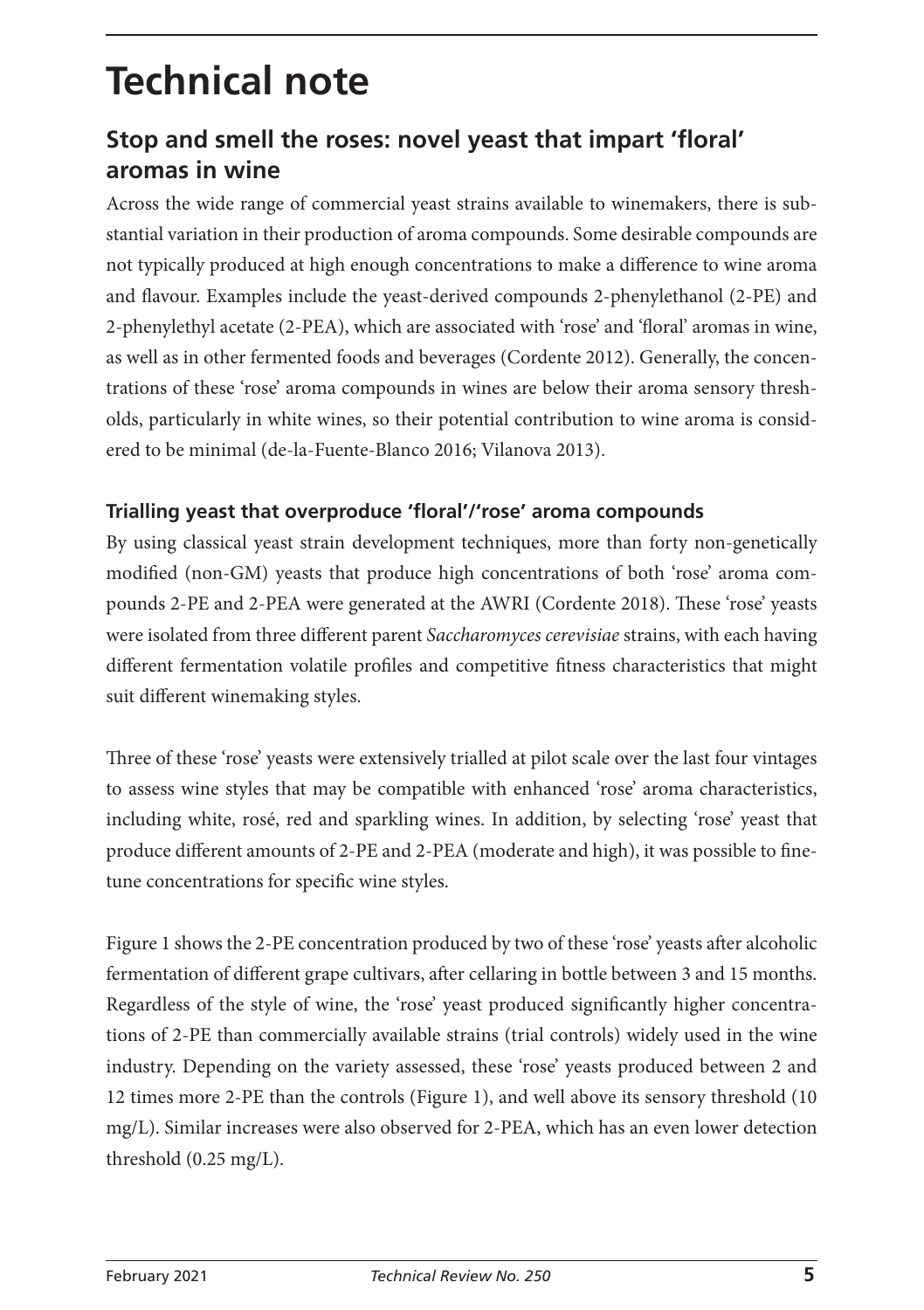# **Technical note**

# **Stop and smell the roses: novel yeast that impart 'floral' aromas in wine**

Across the wide range of commercial yeast strains available to winemakers, there is substantial variation in their production of aroma compounds. Some desirable compounds are not typically produced at high enough concentrations to make a difference to wine aroma and flavour. Examples include the yeast-derived compounds 2-phenylethanol (2-PE) and 2-phenylethyl acetate (2-PEA), which are associated with 'rose' and 'floral' aromas in wine, as well as in other fermented foods and beverages (Cordente 2012). Generally, the concentrations of these 'rose' aroma compounds in wines are below their aroma sensory thresholds, particularly in white wines, so their potential contribution to wine aroma is considered to be minimal (de-la-Fuente-Blanco 2016; Vilanova 2013).

#### **Trialling yeast that overproduce 'floral'/'rose' aroma compounds**

By using classical yeast strain development techniques, more than forty non-genetically modified (non-GM) yeasts that produce high concentrations of both 'rose' aroma compounds 2-PE and 2-PEA were generated at the AWRI (Cordente 2018). These 'rose' yeasts were isolated from three different parent *Saccharomyces cerevisiae* strains, with each having different fermentation volatile profiles and competitive fitness characteristics that might suit different winemaking styles.

Three of these 'rose' yeasts were extensively trialled at pilot scale over the last four vintages to assess wine styles that may be compatible with enhanced 'rose' aroma characteristics, including white, rosé, red and sparkling wines. In addition, by selecting 'rose' yeast that produce different amounts of 2-PE and 2-PEA (moderate and high), it was possible to finetune concentrations for specific wine styles.

Figure 1 shows the 2-PE concentration produced by two of these 'rose' yeasts after alcoholic fermentation of different grape cultivars, after cellaring in bottle between 3 and 15 months. Regardless of the style of wine, the 'rose' yeast produced significantly higher concentrations of 2-PE than commercially available strains (trial controls) widely used in the wine industry. Depending on the variety assessed, these 'rose' yeasts produced between 2 and 12 times more 2-PE than the controls (Figure 1), and well above its sensory threshold (10 mg/L). Similar increases were also observed for 2-PEA, which has an even lower detection threshold (0.25 mg/L).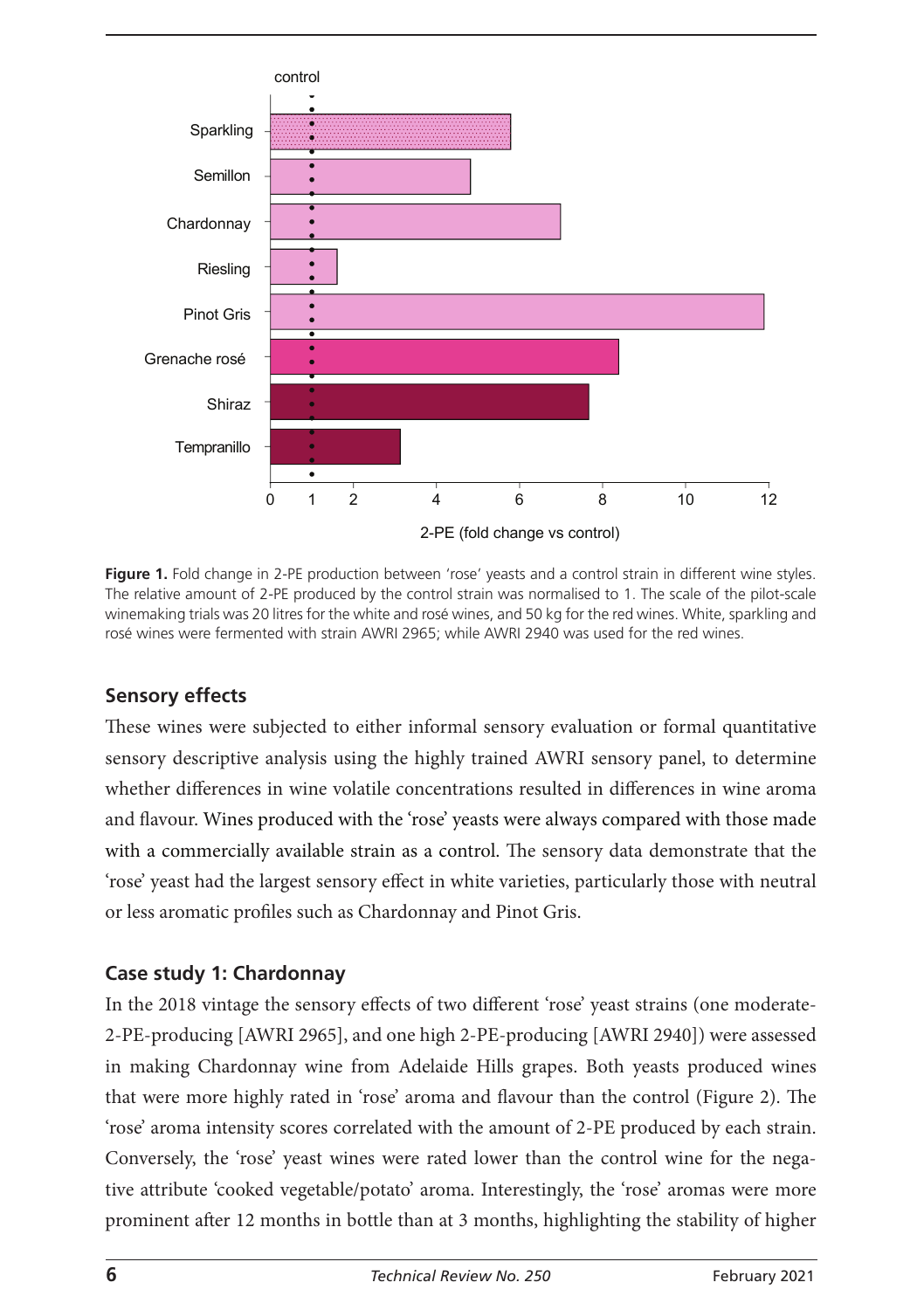

**Figure 1.** Fold change in 2-PE production between 'rose' yeasts and a control strain in different wine styles. The relative amount of 2-PE produced by the control strain was normalised to 1. The scale of the pilot-scale winemaking trials was 20 litres for the white and rosé wines, and 50 kg for the red wines. White, sparkling and rosé wines were fermented with strain AWRI 2965; while AWRI 2940 was used for the red wines.

### **Sensory effects**

These wines were subjected to either informal sensory evaluation or formal quantitative sensory descriptive analysis using the highly trained AWRI sensory panel, to determine whether differences in wine volatile concentrations resulted in differences in wine aroma and flavour. Wines produced with the 'rose' yeasts were always compared with those made with a commercially available strain as a control. The sensory data demonstrate that the 'rose' yeast had the largest sensory effect in white varieties, particularly those with neutral or less aromatic profiles such as Chardonnay and Pinot Gris.

### **Case study 1: Chardonnay**

In the 2018 vintage the sensory effects of two different 'rose' yeast strains (one moderate-2-PE-producing [AWRI 2965], and one high 2-PE-producing [AWRI 2940]) were assessed in making Chardonnay wine from Adelaide Hills grapes. Both yeasts produced wines that were more highly rated in 'rose' aroma and flavour than the control (Figure 2). The 'rose' aroma intensity scores correlated with the amount of 2-PE produced by each strain. Conversely, the 'rose' yeast wines were rated lower than the control wine for the negative attribute 'cooked vegetable/potato' aroma. Interestingly, the 'rose' aromas were more prominent after 12 months in bottle than at 3 months, highlighting the stability of higher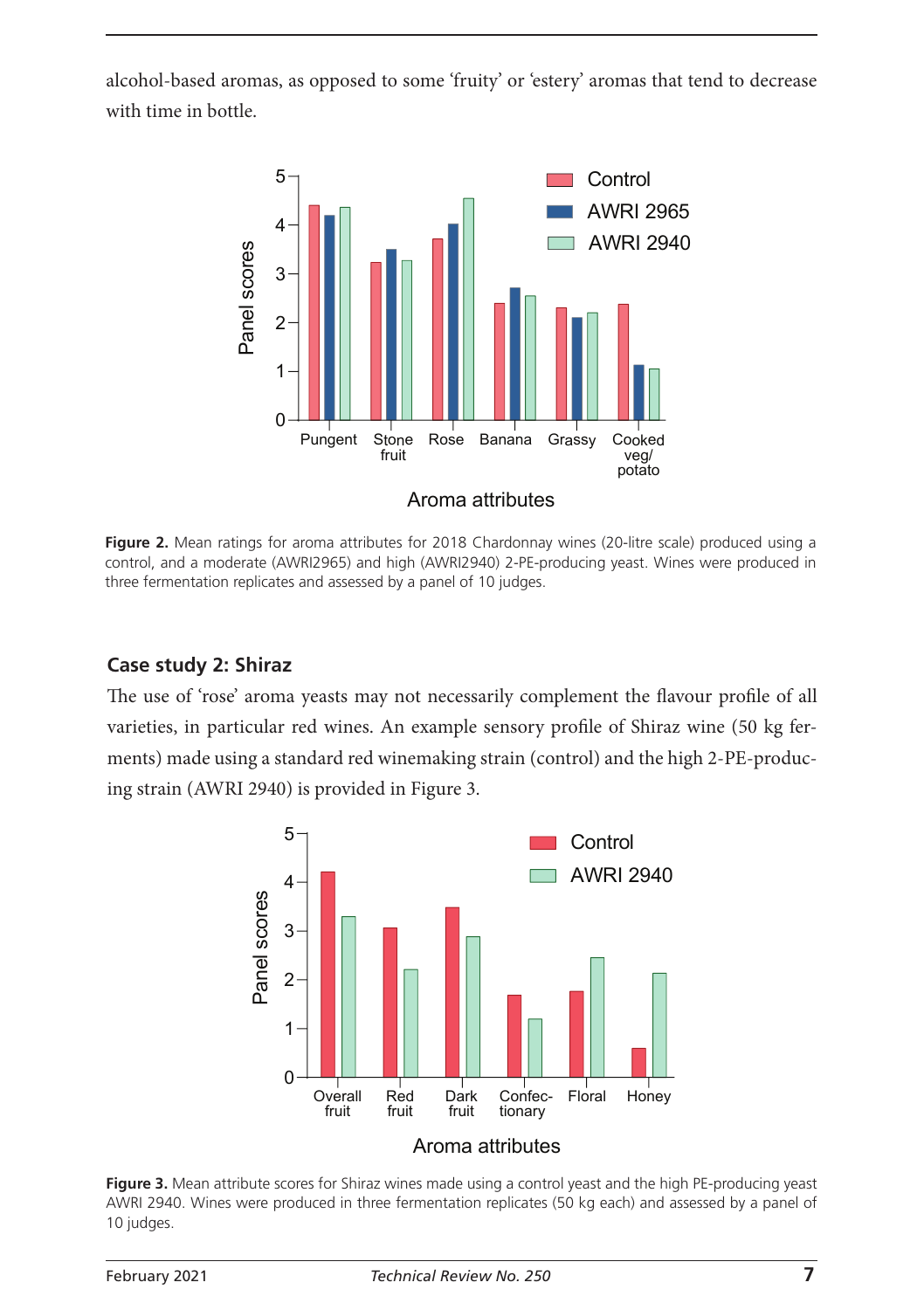alcohol-based aromas, as opposed to some 'fruity' or 'estery' aromas that tend to decrease with time in bottle.



Figure 2. Mean ratings for aroma attributes for 2018 Chardonnay wines (20-litre scale) produced using a control, and a moderate (AWRI2965) and high (AWRI2940) 2-PE-producing yeast. Wines were produced in three fermentation replicates and assessed by a panel of 10 judges.

#### **Case study 2: Shiraz**

The use of 'rose' aroma yeasts may not necessarily complement the flavour profile of all varieties, in particular red wines. An example sensory profile of Shiraz wine (50 kg ferments) made using a standard red winemaking strain (control) and the high 2-PE-producing strain (AWRI 2940) is provided in Figure 3.



**Figure 3.** Mean attribute scores for Shiraz wines made using a control yeast and the high PE-producing yeast AWRI 2940. Wines were produced in three fermentation replicates (50 kg each) and assessed by a panel of 10 judges.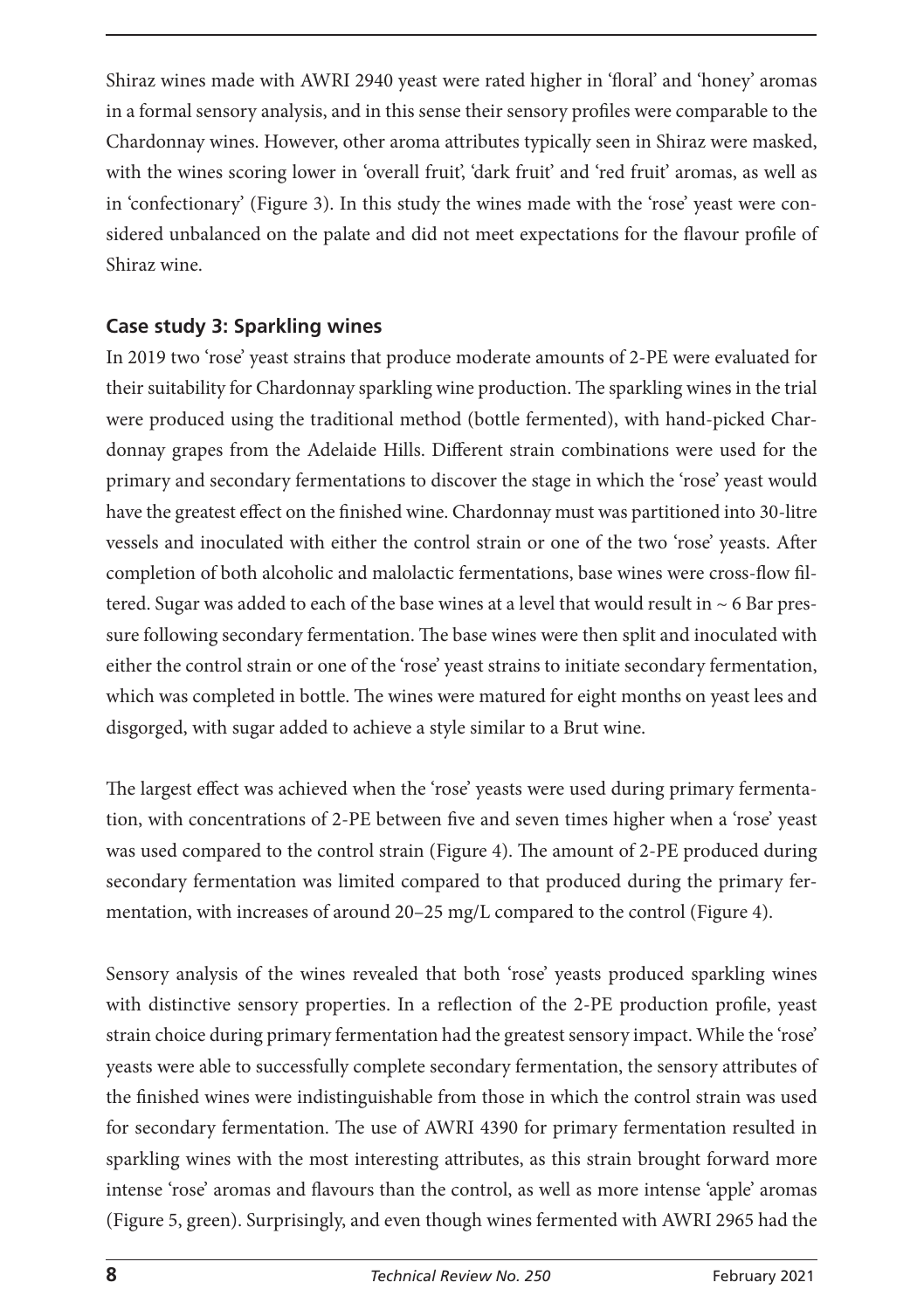Shiraz wines made with AWRI 2940 yeast were rated higher in 'floral' and 'honey' aromas in a formal sensory analysis, and in this sense their sensory profiles were comparable to the Chardonnay wines. However, other aroma attributes typically seen in Shiraz were masked, with the wines scoring lower in 'overall fruit', 'dark fruit' and 'red fruit' aromas, as well as in 'confectionary' (Figure 3). In this study the wines made with the 'rose' yeast were considered unbalanced on the palate and did not meet expectations for the flavour profile of Shiraz wine.

## **Case study 3: Sparkling wines**

In 2019 two 'rose' yeast strains that produce moderate amounts of 2-PE were evaluated for their suitability for Chardonnay sparkling wine production. The sparkling wines in the trial were produced using the traditional method (bottle fermented), with hand-picked Chardonnay grapes from the Adelaide Hills. Different strain combinations were used for the primary and secondary fermentations to discover the stage in which the 'rose' yeast would have the greatest effect on the finished wine. Chardonnay must was partitioned into 30-litre vessels and inoculated with either the control strain or one of the two 'rose' yeasts. After completion of both alcoholic and malolactic fermentations, base wines were cross-flow filtered. Sugar was added to each of the base wines at a level that would result in  $\sim$  6 Bar pressure following secondary fermentation. The base wines were then split and inoculated with either the control strain or one of the 'rose' yeast strains to initiate secondary fermentation, which was completed in bottle. The wines were matured for eight months on yeast lees and disgorged, with sugar added to achieve a style similar to a Brut wine.

The largest effect was achieved when the 'rose' yeasts were used during primary fermentation, with concentrations of 2-PE between five and seven times higher when a 'rose' yeast was used compared to the control strain (Figure 4). The amount of 2-PE produced during secondary fermentation was limited compared to that produced during the primary fermentation, with increases of around 20–25 mg/L compared to the control (Figure 4).

Sensory analysis of the wines revealed that both 'rose' yeasts produced sparkling wines with distinctive sensory properties. In a reflection of the 2-PE production profile, yeast strain choice during primary fermentation had the greatest sensory impact. While the 'rose' yeasts were able to successfully complete secondary fermentation, the sensory attributes of the finished wines were indistinguishable from those in which the control strain was used for secondary fermentation. The use of AWRI 4390 for primary fermentation resulted in sparkling wines with the most interesting attributes, as this strain brought forward more intense 'rose' aromas and flavours than the control, as well as more intense 'apple' aromas (Figure 5, green). Surprisingly, and even though wines fermented with AWRI 2965 had the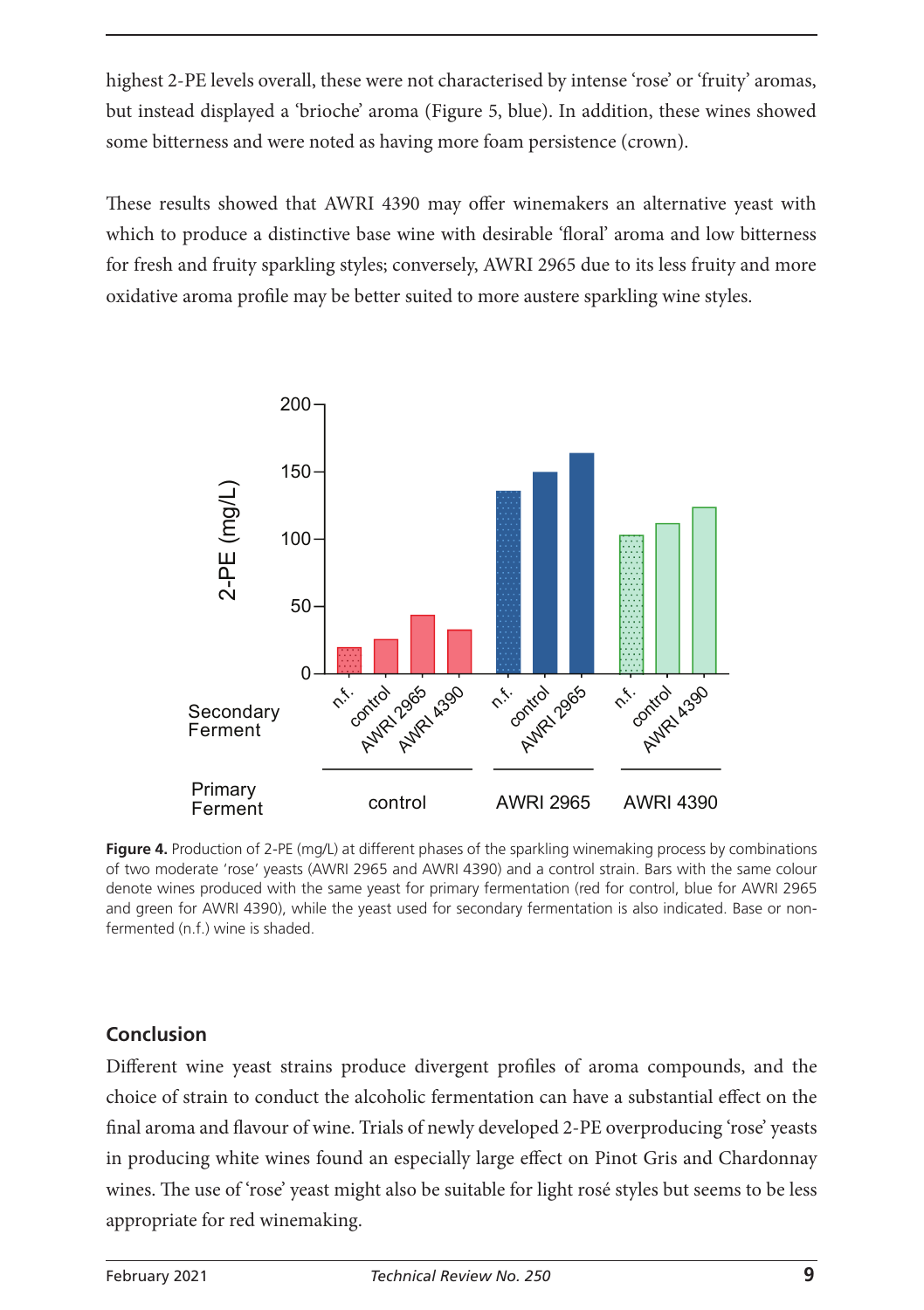highest 2-PE levels overall, these were not characterised by intense 'rose' or 'fruity' aromas, but instead displayed a 'brioche' aroma (Figure 5, blue). In addition, these wines showed some bitterness and were noted as having more foam persistence (crown).

These results showed that AWRI 4390 may offer winemakers an alternative yeast with which to produce a distinctive base wine with desirable 'floral' aroma and low bitterness for fresh and fruity sparkling styles; conversely, AWRI 2965 due to its less fruity and more oxidative aroma profile may be better suited to more austere sparkling wine styles.



**Figure 4.** Production of 2-PE (mg/L) at different phases of the sparkling winemaking process by combinations of two moderate 'rose' yeasts (AWRI 2965 and AWRI 4390) and a control strain. Bars with the same colour denote wines produced with the same yeast for primary fermentation (red for control, blue for AWRI 2965 and green for AWRI 4390), while the yeast used for secondary fermentation is also indicated. Base or nonfermented (n.f.) wine is shaded.

### **Conclusion**

Different wine yeast strains produce divergent profiles of aroma compounds, and the choice of strain to conduct the alcoholic fermentation can have a substantial effect on the final aroma and flavour of wine. Trials of newly developed 2-PE overproducing 'rose' yeasts in producing white wines found an especially large effect on Pinot Gris and Chardonnay wines. The use of 'rose' yeast might also be suitable for light rosé styles but seems to be less appropriate for red winemaking.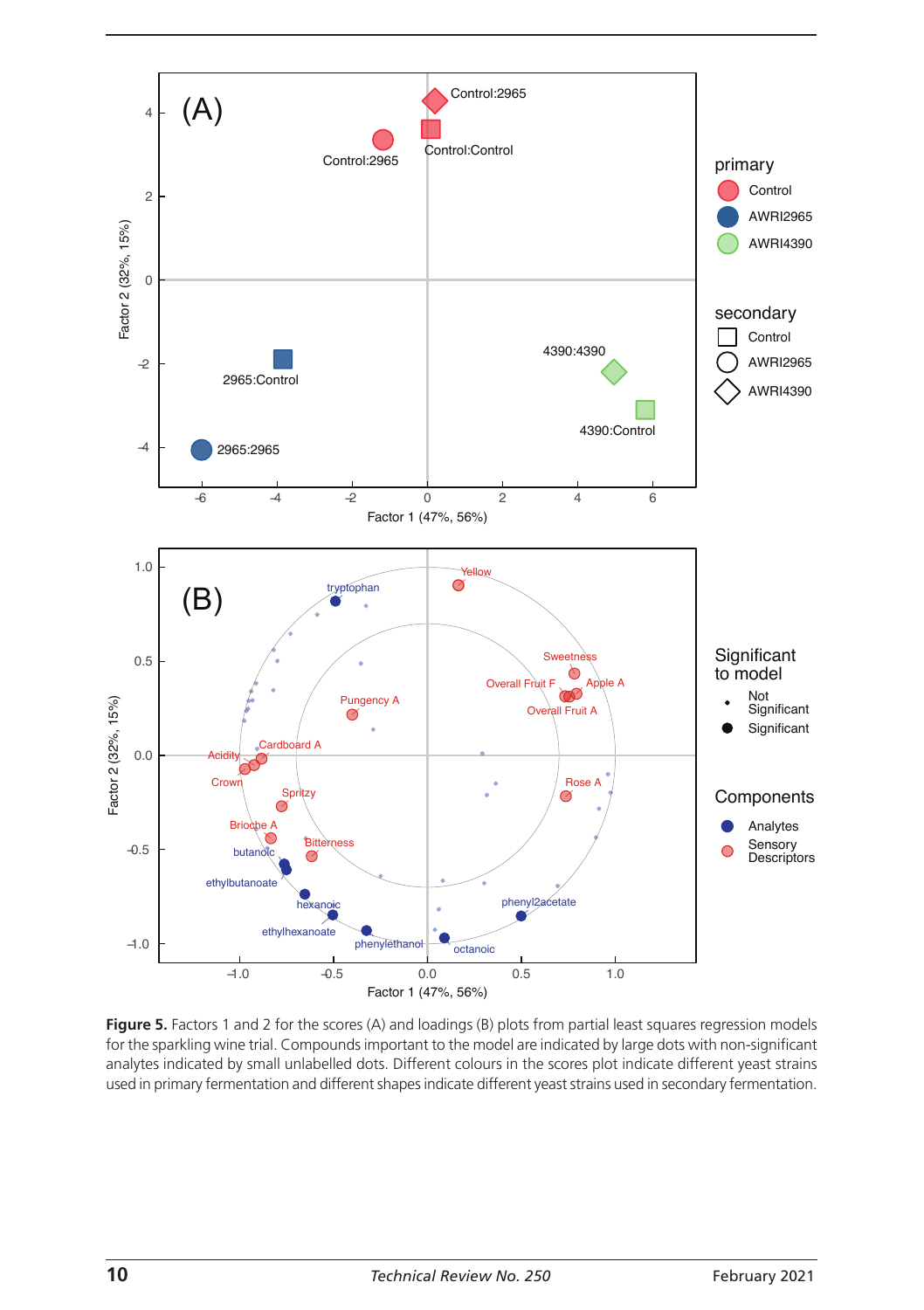

**Figure 5.** Factors 1 and 2 for the scores (A) and loadings (B) plots from partial least squares regression models for the sparkling wine trial. Compounds important to the model are indicated by large dots with non-significant analytes indicated by small unlabelled dots. Different colours in the scores plot indicate different yeast strains used in primary fermentation and different shapes indicate different yeast strains used in secondary fermentation.